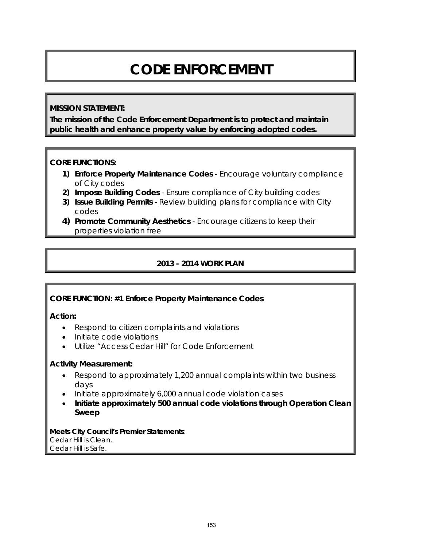# **CODE ENFORCEMENT**

## **MISSION STATEMENT:**

**The mission of the Code Enforcement Department is to protect and maintain public health and enhance property value by enforcing adopted codes.** 

## **CORE FUNCTIONS:**

- **1) Enforce Property Maintenance Codes**  Encourage voluntary compliance of City codes
- **2) Impose Building Codes** Ensure compliance of City building codes
- **3) Issue Building Permits**  Review building plans for compliance with City codes
- **4) Promote Community Aesthetics**  Encourage citizens to keep their properties violation free

# **2013 - 2014 WORK PLAN**

## **CORE FUNCTION: #1 Enforce Property Maintenance Codes**

## **Action:**

- Respond to citizen complaints and violations
- Initiate code violations
- Utilize "Access Cedar Hill" for Code Enforcement

## **Activity Measurement:**

- Respond to approximately 1,200 annual complaints within two business days
- Initiate approximately 6,000 annual code violation cases
- **Initiate approximately 500 annual code violations through Operation Clean Sweep**

**Meets City Council's Premier Statements**: Cedar Hill is Clean. Cedar Hill is Safe.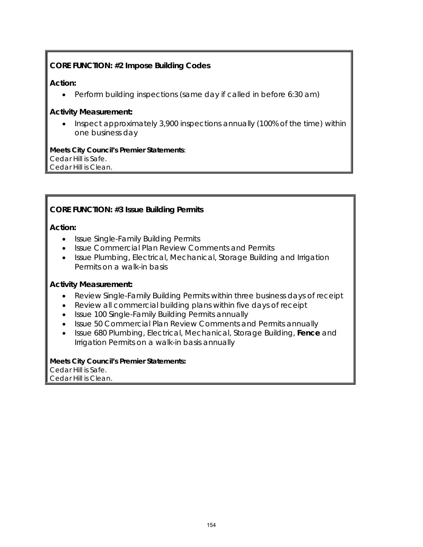# **CORE FUNCTION: #2 Impose Building Codes**

#### **Action:**

• Perform building inspections (same day if called in before 6:30 am)

#### **Activity Measurement:**

• Inspect approximately 3,900 inspections annually (100% of the time) within one business day

**Meets City Council's Premier Statements**: Cedar Hill is Safe. Cedar Hill is Clean.

## **CORE FUNCTION: #3 Issue Building Permits**

#### **Action:**

- Issue Single-Family Building Permits
- Issue Commercial Plan Review Comments and Permits
- Issue Plumbing, Electrical, Mechanical, Storage Building and Irrigation Permits on a walk-in basis

#### **Activity Measurement:**

- Review Single-Family Building Permits within three business days of receipt
- Review all commercial building plans within five days of receipt
- Issue 100 Single-Family Building Permits annually
- Issue 50 Commercial Plan Review Comments and Permits annually
- Issue 680 Plumbing, Electrical, Mechanical, Storage Building, **Fence** and Irrigation Permits on a walk-in basis annually

**Meets City Council's Premier Statements:**  Cedar Hill is Safe. Cedar Hill is Clean.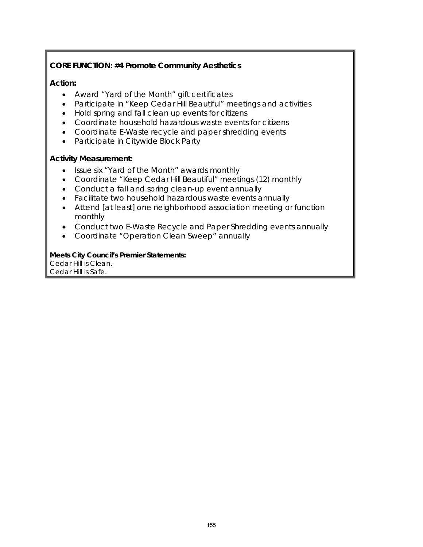# **CORE FUNCTION: #4 Promote Community Aesthetics**

## **Action:**

- Award "Yard of the Month" gift certificates
- Participate in "Keep Cedar Hill Beautiful" meetings and activities
- Hold spring and fall clean up events for citizens
- Coordinate household hazardous waste events for citizens
- Coordinate E-Waste recycle and paper shredding events
- Participate in Citywide Block Party

## **Activity Measurement:**

- Issue six "Yard of the Month" awards monthly
- Coordinate "Keep Cedar Hill Beautiful" meetings (12) monthly
- Conduct a fall and spring clean-up event annually
- Facilitate two household hazardous waste events annually
- Attend [at least] one neighborhood association meeting or function monthly
- Conduct two E-Waste Recycle and Paper Shredding events annually
- Coordinate "Operation Clean Sweep" annually

## **Meets City Council's Premier Statements:**

Cedar Hill is Clean. Cedar Hill is Safe.